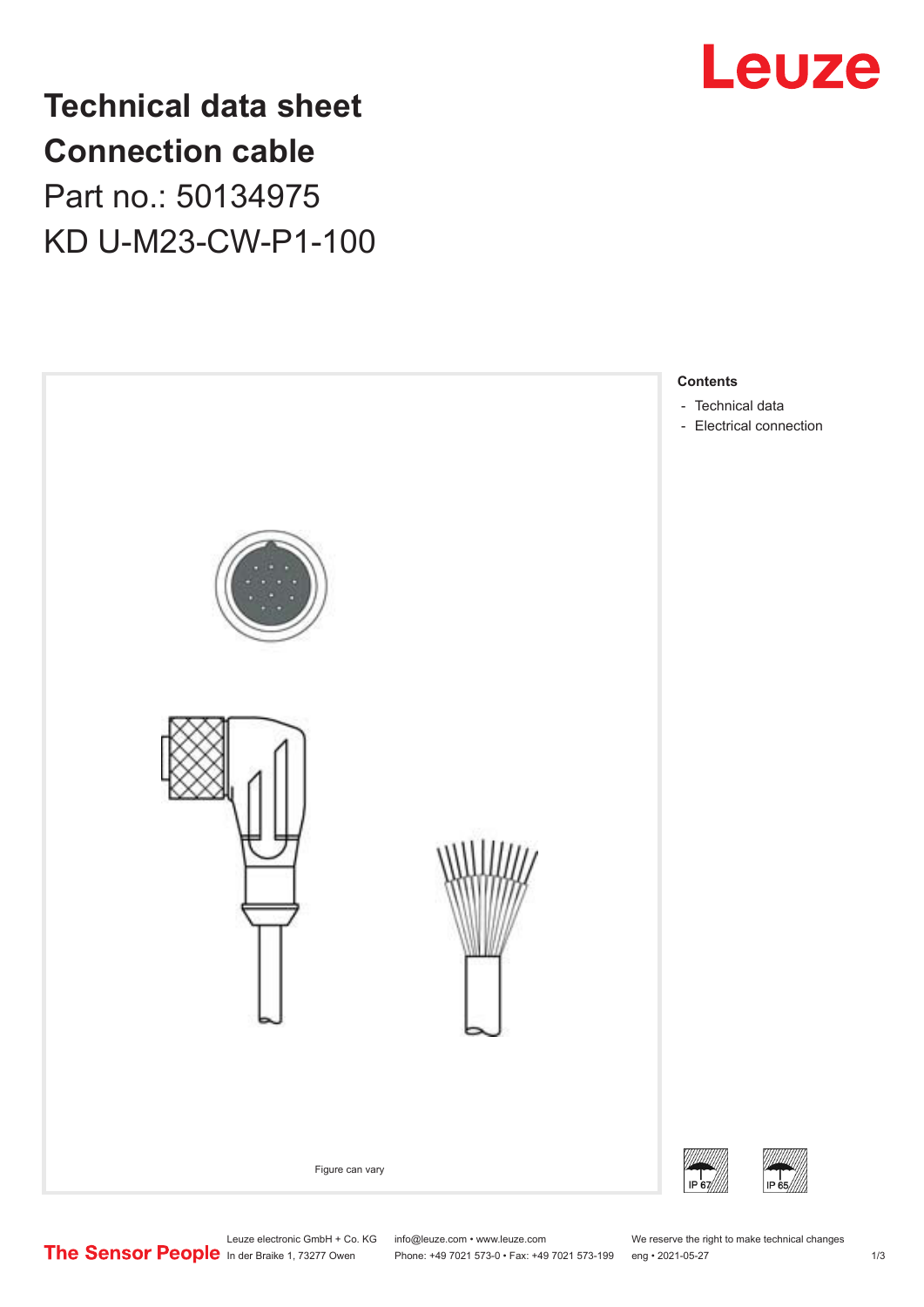

**Technical data sheet Connection cable** Part no.: 50134975 KD U-M23-CW-P1-100



Leuze electronic GmbH + Co. KG info@leuze.com • www.leuze.com We reserve the right to make technical changes<br>
The Sensor People in der Braike 1, 73277 Owen Phone: +49 7021 573-0 • Fax: +49 7021 573-199 eng • 2021-05-27 Phone: +49 7021 573-0 • Fax: +49 7021 573-199 eng • 2021-05-27 1 2021-05-27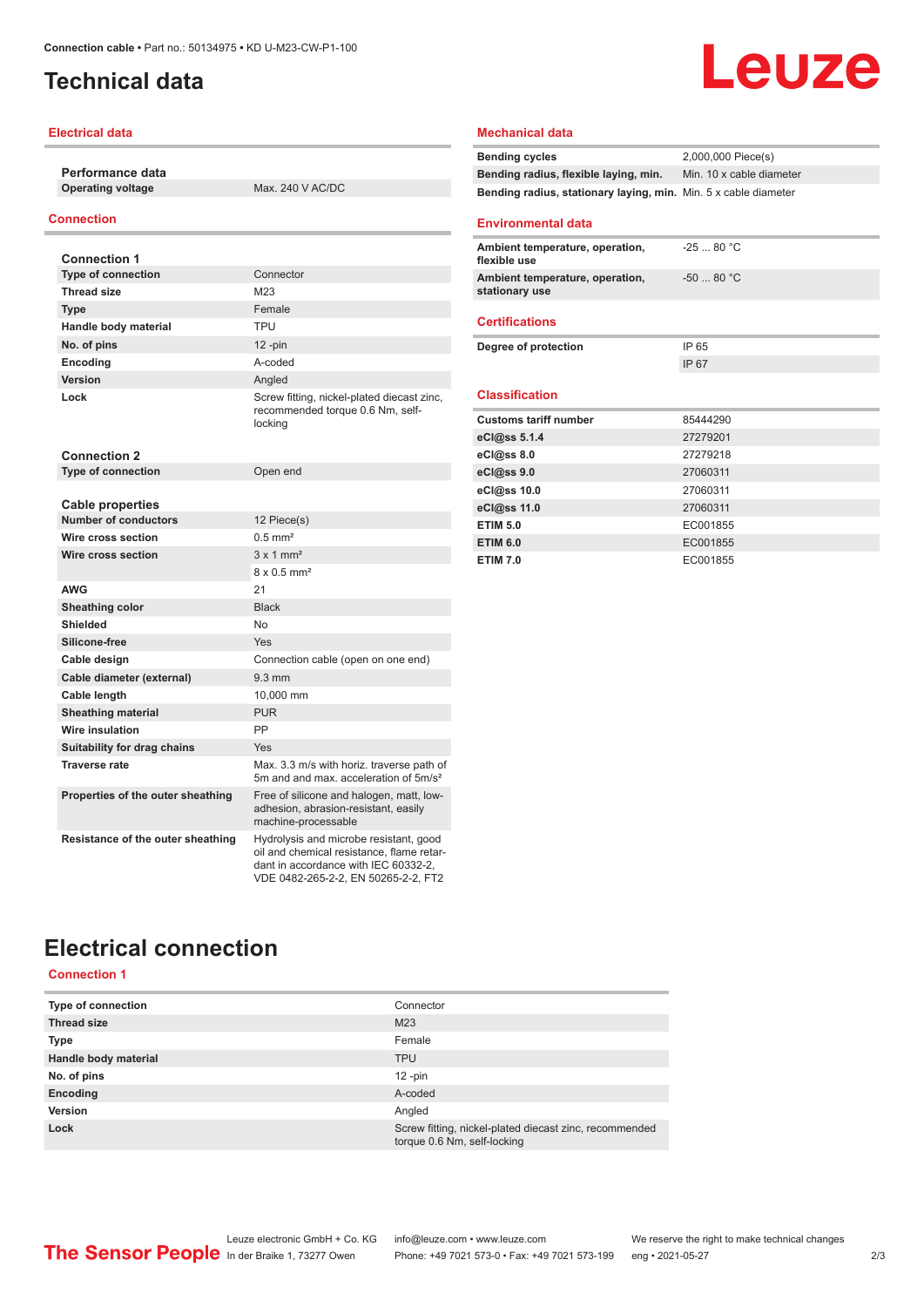## <span id="page-1-0"></span>**Technical data**

#### **Electrical data**

**Performance data Operating voltage** Max. 240 V AC/DC

#### **Connection**

| <b>Connection 1</b>               |                                                                                                                                                                    |
|-----------------------------------|--------------------------------------------------------------------------------------------------------------------------------------------------------------------|
| <b>Type of connection</b>         | Connector                                                                                                                                                          |
| <b>Thread size</b>                | M23                                                                                                                                                                |
| Type                              | Female                                                                                                                                                             |
| Handle body material              | TPU                                                                                                                                                                |
| No. of pins                       | $12$ -pin                                                                                                                                                          |
| Encoding                          | A-coded                                                                                                                                                            |
| Version                           | Angled                                                                                                                                                             |
| Lock                              | Screw fitting, nickel-plated diecast zinc,<br>recommended torque 0.6 Nm, self-<br>locking                                                                          |
| <b>Connection 2</b>               |                                                                                                                                                                    |
| <b>Type of connection</b>         | Open end                                                                                                                                                           |
|                                   |                                                                                                                                                                    |
| <b>Cable properties</b>           |                                                                                                                                                                    |
| <b>Number of conductors</b>       | 12 Piece(s)                                                                                                                                                        |
| Wire cross section                | $0.5$ mm <sup>2</sup>                                                                                                                                              |
| Wire cross section                | $3 \times 1$ mm <sup>2</sup>                                                                                                                                       |
|                                   | $8 \times 0.5$ mm <sup>2</sup>                                                                                                                                     |
| <b>AWG</b>                        | 21                                                                                                                                                                 |
| Sheathing color                   | <b>Black</b>                                                                                                                                                       |
| Shielded                          | No                                                                                                                                                                 |
| Silicone-free                     | Yes                                                                                                                                                                |
| Cable design                      | Connection cable (open on one end)                                                                                                                                 |
| Cable diameter (external)         | $9.3 \text{ mm}$                                                                                                                                                   |
| Cable length                      | 10.000 mm                                                                                                                                                          |
| <b>Sheathing material</b>         | <b>PUR</b>                                                                                                                                                         |
| <b>Wire insulation</b>            | PP                                                                                                                                                                 |
| Suitability for drag chains       | Yes                                                                                                                                                                |
| <b>Traverse rate</b>              | Max, 3.3 m/s with horiz, traverse path of<br>5m and and max, acceleration of 5m/s <sup>2</sup>                                                                     |
| Properties of the outer sheathing | Free of silicone and halogen, matt, low-<br>adhesion, abrasion-resistant, easily<br>machine-processable                                                            |
| Resistance of the outer sheathing | Hydrolysis and microbe resistant, good<br>oil and chemical resistance, flame retar-<br>dant in accordance with IEC 60332-2.<br>VDE 0482-265-2-2, EN 50265-2-2, FT2 |

# Leuze

#### **Mechanical data**

| <b>Bending cycles</b>                                           | 2,000,000 Piece(s)       |
|-----------------------------------------------------------------|--------------------------|
| Bending radius, flexible laying, min.                           | Min. 10 x cable diameter |
| Bending radius, stationary laying, min. Min. 5 x cable diameter |                          |
|                                                                 |                          |

#### **Environmental data**

| Ambient temperature, operation,<br>flexible use   | $-2580 °C$  |
|---------------------------------------------------|-------------|
| Ambient temperature, operation,<br>stationary use | $-50$ 80 °C |
|                                                   |             |
| <b>Certifications</b>                             |             |
| Degree of protection                              | IP 65       |
|                                                   | IP 67       |
|                                                   |             |
| <b>Classification</b>                             |             |
| <b>Customs tariff number</b>                      | 85444290    |
| eCl@ss 5.1.4                                      | 27279201    |
| eCl@ss 8.0                                        | 27279218    |
| eCl@ss 9.0                                        | 27060311    |
| eCl@ss 10.0                                       | 27060311    |
| eCl@ss 11.0                                       | 27060311    |
| <b>ETIM 5.0</b>                                   | EC001855    |
| <b>ETIM 6.0</b>                                   | EC001855    |
| <b>ETIM 7.0</b>                                   | EC001855    |

## **Electrical connection**

**Connection 1**

| <b>Type of connection</b> | Connector                                                                             |
|---------------------------|---------------------------------------------------------------------------------------|
| <b>Thread size</b>        | M23                                                                                   |
| <b>Type</b>               | Female                                                                                |
| Handle body material      | <b>TPU</b>                                                                            |
| No. of pins               | $12 - pin$                                                                            |
| Encoding                  | A-coded                                                                               |
| Version                   | Angled                                                                                |
| Lock                      | Screw fitting, nickel-plated diecast zinc, recommended<br>torque 0.6 Nm, self-locking |